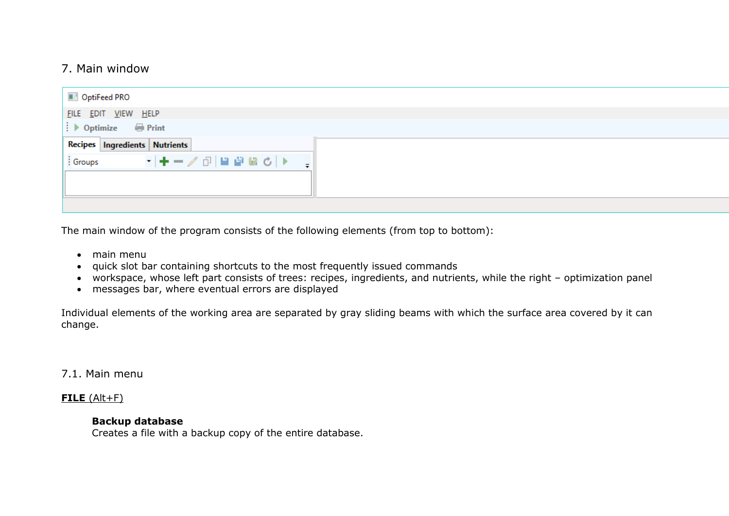# 7. Main window

| OptiFeed PRO                                          |  |
|-------------------------------------------------------|--|
| FILE EDIT VIEW HELP                                   |  |
| $\Rightarrow$ Optimize $\qquad \qquad \implies$ Print |  |
| Recipes Ingredients Nutrients                         |  |
| iGroups - -   + - / ①   単 彎 號 C   ▶   -               |  |
|                                                       |  |

The main window of the program consists of the following elements (from top to bottom):

- main menu
- quick slot bar containing shortcuts to the most frequently issued commands
- workspace, whose left part consists of trees: recipes, ingredients, and nutrients, while the right optimization panel
- messages bar, where eventual errors are displayed

Individual elements of the working area are separated by gray sliding beams with which the surface area covered by it can change.

7.1. Main menu

## **FILE** (Alt+F)

## **Backup database**

Creates a file with a backup copy of the entire database.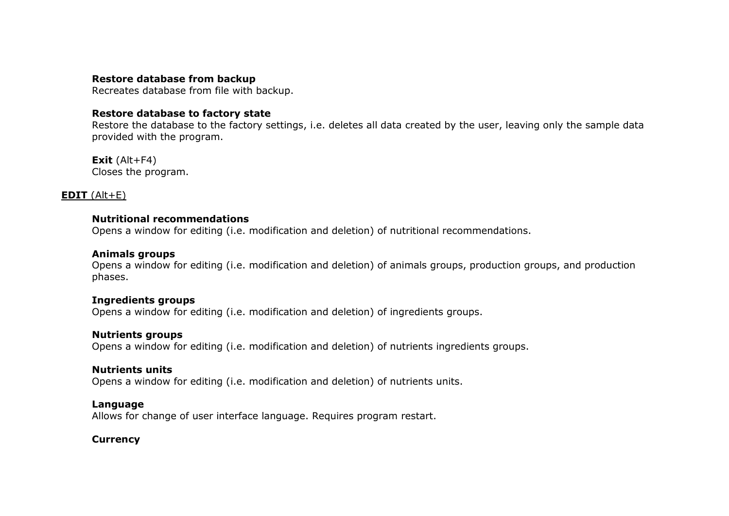## **Restore database from backup**

Recreates database from file with backup.

## **Restore database to factory state**

Restore the database to the factory settings, i.e. deletes all data created by the user, leaving only the sample data provided with the program.

**Exit** (Alt+F4) Closes the program.

## **EDIT** (Alt+E)

## **Nutritional recommendations**

Opens a window for editing (i.e. modification and deletion) of nutritional recommendations.

## **Animals groups**

Opens a window for editing (i.e. modification and deletion) of animals groups, production groups, and production phases.

## **Ingredients groups**

Opens a window for editing (i.e. modification and deletion) of ingredients groups.

## **Nutrients groups**

Opens a window for editing (i.e. modification and deletion) of nutrients ingredients groups.

## **Nutrients units**

Opens a window for editing (i.e. modification and deletion) of nutrients units.

## **Language**

Allows for change of user interface language. Requires program restart.

## **Currency**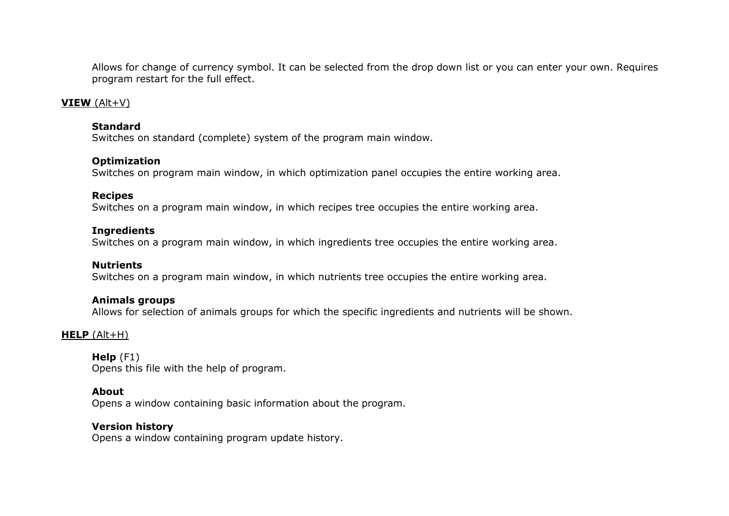Allows for change of currency symbol. It can be selected from the drop down list or you can enter your own. Requires program restart for the full effect.

### **VIEW** (Alt+V)

#### **Standard**

Switches on standard (complete) system of the program main window.

### **Optimization**

Switches on program main window, in which optimization panel occupies the entire working area.

#### **Recipes**

Switches on a program main window, in which recipes tree occupies the entire working area.

### **Ingredients**

Switches on a program main window, in which ingredients tree occupies the entire working area.

#### **Nutrients**

Switches on a program main window, in which nutrients tree occupies the entire working area.

#### **Animals groups**

Allows for selection of animals groups for which the specific ingredients and nutrients will be shown.

## **HELP** (Alt+H)

**Help** (F1) Opens this file with the help of program.

## **About**

Opens a window containing basic information about the program.

## **Version history**

Opens a window containing program update history.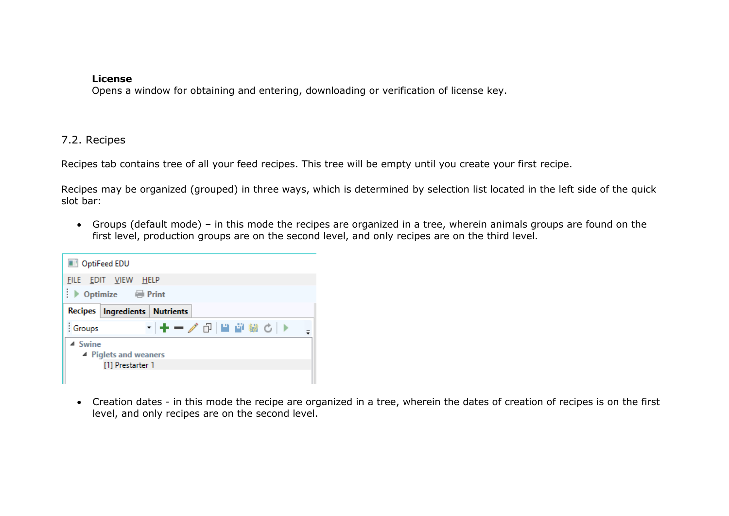## **License**

Opens a window for obtaining and entering, downloading or verification of license key.

## 7.2. Recipes

Recipes tab contains tree of all your feed recipes. This tree will be empty until you create your first recipe.

Recipes may be organized (grouped) in three ways, which is determined by selection list located in the left side of the quick slot bar:

 Groups (default mode) – in this mode the recipes are organized in a tree, wherein animals groups are found on the first level, production groups are on the second level, and only recipes are on the third level.



 Creation dates - in this mode the recipe are organized in a tree, wherein the dates of creation of recipes is on the first level, and only recipes are on the second level.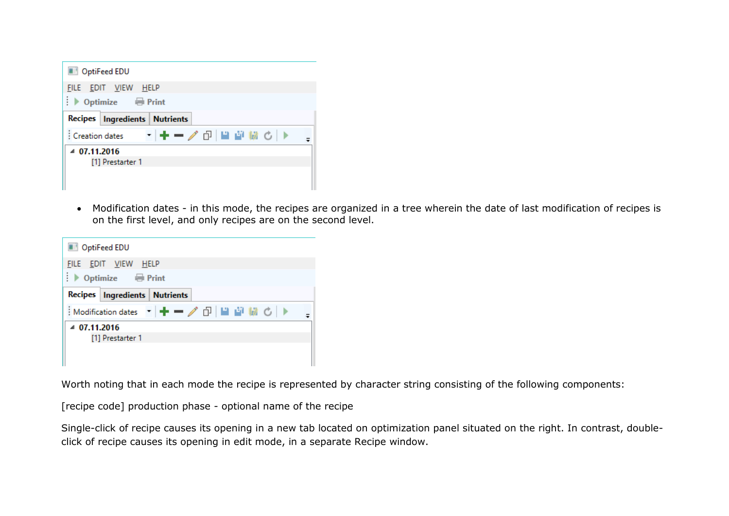| <b>DISPUTED OptiFeed EDU</b> |                                           |
|------------------------------|-------------------------------------------|
|                              | FILE EDIT VIEW HELP<br>▶ Optimize ● Print |
|                              | Recipes   Ingredients   Nutrients         |
|                              | - ╋━╱ ♂ 単音 綴 ♂ ▶<br>: Creation dates      |
| 407.11.2016                  | [1] Prestarter 1                          |

 Modification dates - in this mode, the recipes are organized in a tree wherein the date of last modification of recipes is on the first level, and only recipes are on the second level.

| OptiFeed EDU |                                   |
|--------------|-----------------------------------|
|              | FILE EDIT VIEW HELP               |
|              | Recipes   Ingredients   Nutrients |
|              |                                   |
| 407.11.2016  | [1] Prestarter 1                  |

Worth noting that in each mode the recipe is represented by character string consisting of the following components:

[recipe code] production phase - optional name of the recipe

Single-click of recipe causes its opening in a new tab located on optimization panel situated on the right. In contrast, doubleclick of recipe causes its opening in edit mode, in a separate Recipe window.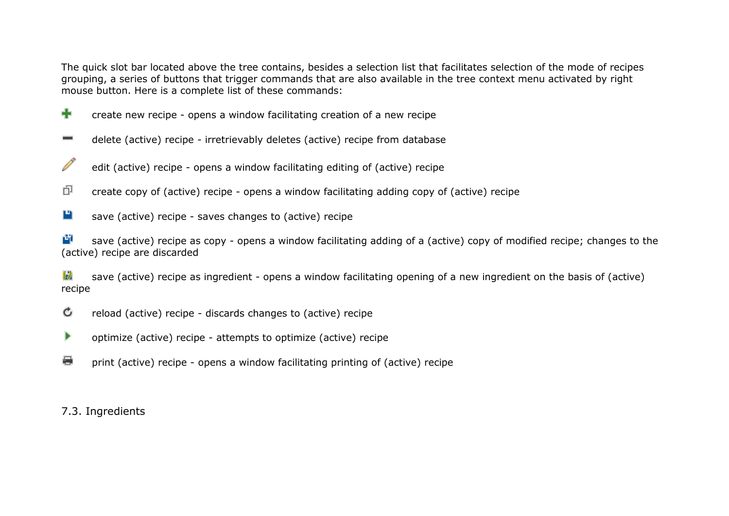The quick slot bar located above the tree contains, besides a selection list that facilitates selection of the mode of recipes grouping, a series of buttons that trigger commands that are also available in the tree context menu activated by right mouse button. Here is a complete list of these commands:

- ÷ create new recipe - opens a window facilitating creation of a new recipe
- delete (active) recipe irretrievably deletes (active) recipe from database  $\equiv$
- Í edit (active) recipe - opens a window facilitating editing of (active) recipe
- 巾 create copy of (active) recipe - opens a window facilitating adding copy of (active) recipe
- Р save (active) recipe - saves changes to (active) recipe

嚉 save (active) recipe as copy - opens a window facilitating adding of a (active) copy of modified recipe; changes to the (active) recipe are discarded

黏着 save (active) recipe as ingredient - opens a window facilitating opening of a new ingredient on the basis of (active) recipe

- Ċ reload (active) recipe - discards changes to (active) recipe
- ▶ optimize (active) recipe - attempts to optimize (active) recipe
- € print (active) recipe - opens a window facilitating printing of (active) recipe

7.3. Ingredients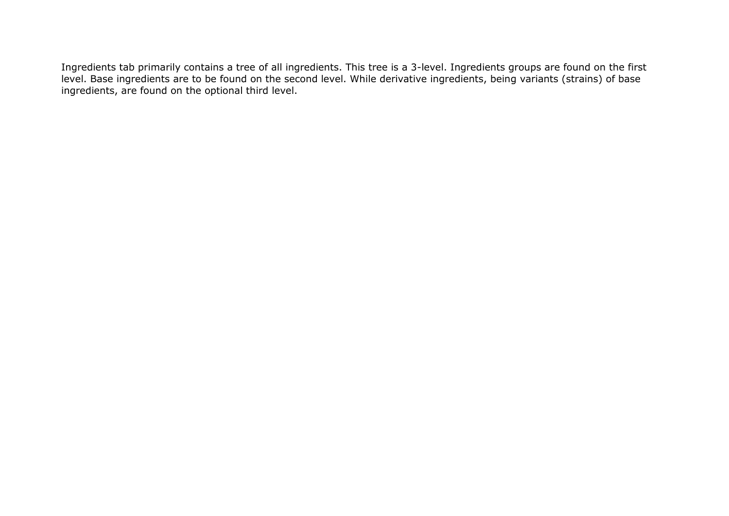Ingredients tab primarily contains a tree of all ingredients. This tree is a 3-level. Ingredients groups are found on the first level. Base ingredients are to be found on the second level. While derivative ingredients, being variants (strains) of base ingredients, are found on the optional third level.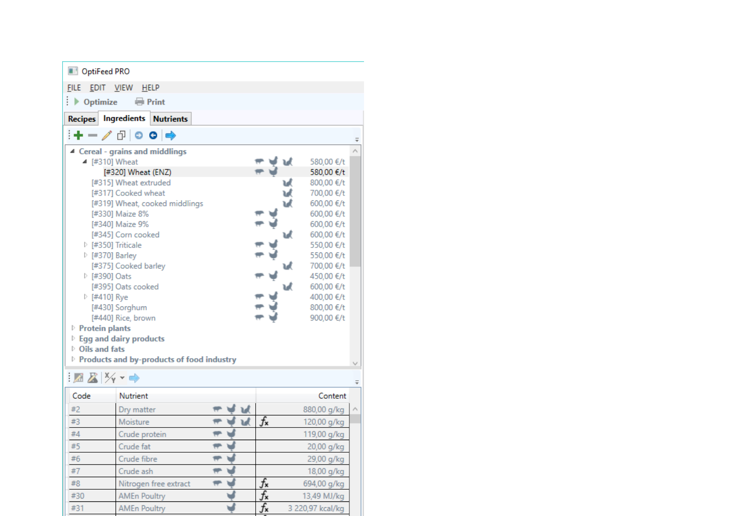| OptiFeed PRO                                       |                                                  |                                     |                  |                          |  |
|----------------------------------------------------|--------------------------------------------------|-------------------------------------|------------------|--------------------------|--|
|                                                    | FILE EDIT VIEW HELP                              |                                     |                  |                          |  |
| $\rightarrow$ Optimize                             | <b>Print</b>                                     |                                     |                  |                          |  |
| <b>Recipes</b>                                     | <b>Ingredients Nutrients</b>                     |                                     |                  |                          |  |
|                                                    | ∔−↗ ∂∣⊙ ⊝  ⇒                                     |                                     |                  |                          |  |
|                                                    | 4 Cereal - grains and middlings                  |                                     |                  |                          |  |
|                                                    | ▲ [#310] Wheat                                   |                                     | υł               | 580,00 €/t               |  |
|                                                    | [#320] Wheat (ENZ)                               |                                     |                  | 580,00 €/t               |  |
|                                                    | [#315] Wheat extruded                            |                                     | u                | 800,00 €/t               |  |
|                                                    | [#317] Cooked wheat                              |                                     | υł               | 700,00 €/t               |  |
|                                                    | [#319] Wheat, cooked middlings                   |                                     | ъđ               | 600,00 €/t               |  |
|                                                    | [#330] Maize 8%                                  |                                     |                  | 600,00 €/t               |  |
|                                                    | [#340] Maize 9%                                  |                                     |                  | 600,00 €/t               |  |
|                                                    | [#345] Corn cooked                               |                                     | υđ               | 600,00 €/t               |  |
|                                                    | $\triangleright$ [#350] Triticale                |                                     |                  | 550,00 €/t               |  |
|                                                    | ▷ [#370] Barley                                  |                                     |                  | 550,00 €/t               |  |
|                                                    | [#375] Cooked barley                             |                                     | w                | 700,00 €/t               |  |
|                                                    | ▷ [#390] Oats                                    |                                     |                  | 450,00 €/t               |  |
|                                                    | [#395] Oats cooked                               |                                     | U                | 600,00 €/t               |  |
|                                                    | ▷ [#410] Rye<br>[#430] Sorghum                   |                                     |                  | 400,00 €/t<br>800,00 €/t |  |
|                                                    | [#440] Rice, brown                               |                                     |                  | 900,00 €/t               |  |
| <b>Protein plants</b>                              |                                                  |                                     |                  |                          |  |
|                                                    | $\triangleright$ Egg and dairy products          |                                     |                  |                          |  |
| $\triangleright$ Oils and fats                     |                                                  |                                     |                  |                          |  |
|                                                    | <b>Products and by-products of food industry</b> |                                     |                  |                          |  |
|                                                    |                                                  |                                     |                  |                          |  |
| $\mathbb{Z} \mathbb{Z}$ $\mathbb{Z}$ $\rightarrow$ |                                                  |                                     |                  |                          |  |
| Code                                               | Nutrient                                         |                                     |                  | Content                  |  |
| #2                                                 | Dry matter                                       | м                                   |                  | 880,00 g/kg              |  |
| #3                                                 | Moisture                                         | $\overline{\phantom{a}}$<br>V<br>ાત | $f_{\mathbf{x}}$ | 120,00 g/kg              |  |
| #4                                                 | Crude protein                                    | $\overline{\phantom{a}}$            |                  | 119,00 g/kg              |  |
| #5                                                 | Crude fat                                        | ₩                                   |                  | 20,00 g/kg               |  |
| #6                                                 | Crude fibre                                      | ₩                                   |                  | 29,00 g/kg               |  |
| #7                                                 | Crude ash                                        | ₹                                   |                  | 18,00 g/kg               |  |
| #8                                                 | Nitrogen free extract                            | ₩                                   | $f_{\mathsf{x}}$ | 694,00 g/kg              |  |
| #30                                                | <b>AMEn Poultry</b>                              |                                     | $f_{\mathsf{x}}$ | 13,49 MJ/kg              |  |
| #31                                                | <b>AMEn Poultry</b>                              |                                     | $f_{\mathbf{x}}$ | 3 220,97 kcal/kg         |  |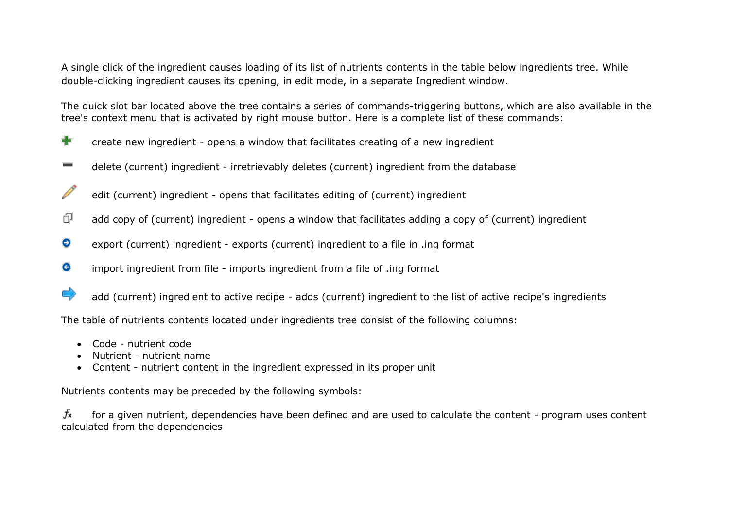A single click of the ingredient causes loading of its list of nutrients contents in the table below ingredients tree. While double-clicking ingredient causes its opening, in edit mode, in a separate Ingredient window.

The quick slot bar located above the tree contains a series of commands-triggering buttons, which are also available in the tree's context menu that is activated by right mouse button. Here is a complete list of these commands:

- ÷ create new ingredient - opens a window that facilitates creating of a new ingredient
- delete (current) ingredient irretrievably deletes (current) ingredient from the database
- Í edit (current) ingredient - opens that facilitates editing of (current) ingredient
- 巾 add copy of (current) ingredient - opens a window that facilitates adding a copy of (current) ingredient
- ⊝ export (current) ingredient - exports (current) ingredient to a file in .ing format
- Θ import ingredient from file - imports ingredient from a file of .ing format
- $\Rightarrow$ add (current) ingredient to active recipe - adds (current) ingredient to the list of active recipe's ingredients

The table of nutrients contents located under ingredients tree consist of the following columns:

- Code nutrient code
- Nutrient nutrient name
- Content nutrient content in the ingredient expressed in its proper unit

Nutrients contents may be preceded by the following symbols:

 $f_{\mathbf{x}}$ for a given nutrient, dependencies have been defined and are used to calculate the content - program uses content calculated from the dependencies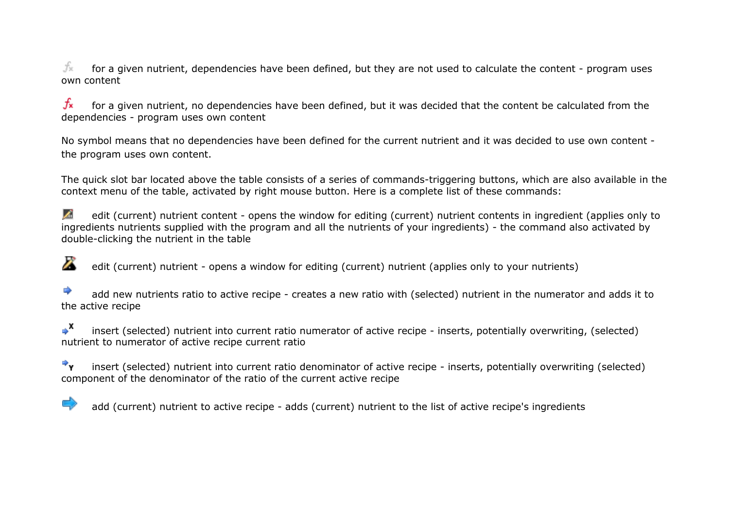fx for a given nutrient, dependencies have been defined, but they are not used to calculate the content - program uses own content

 $f_{\mathbf{x}}$ for a given nutrient, no dependencies have been defined, but it was decided that the content be calculated from the dependencies - program uses own content

No symbol means that no dependencies have been defined for the current nutrient and it was decided to use own content the program uses own content.

The quick slot bar located above the table consists of a series of commands-triggering buttons, which are also available in the context menu of the table, activated by right mouse button. Here is a complete list of these commands:

L. edit (current) nutrient content - opens the window for editing (current) nutrient contents in ingredient (applies only to ingredients nutrients supplied with the program and all the nutrients of your ingredients) - the command also activated by double-clicking the nutrient in the table

A edit (current) nutrient - opens a window for editing (current) nutrient (applies only to your nutrients)

add new nutrients ratio to active recipe - creates a new ratio with (selected) nutrient in the numerator and adds it to the active recipe

 $\rightarrow$ <sup>x</sup> insert (selected) nutrient into current ratio numerator of active recipe - inserts, potentially overwriting, (selected) nutrient to numerator of active recipe current ratio

 $\Rightarrow$ insert (selected) nutrient into current ratio denominator of active recipe - inserts, potentially overwriting (selected) component of the denominator of the ratio of the current active recipe

add (current) nutrient to active recipe - adds (current) nutrient to the list of active recipe's ingredients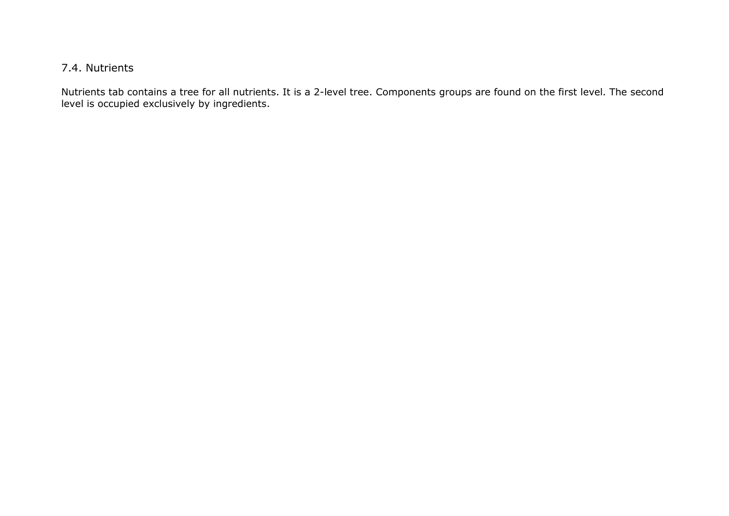# 7.4. Nutrients

Nutrients tab contains a tree for all nutrients. It is a 2-level tree. Components groups are found on the first level. The second level is occupied exclusively by ingredients.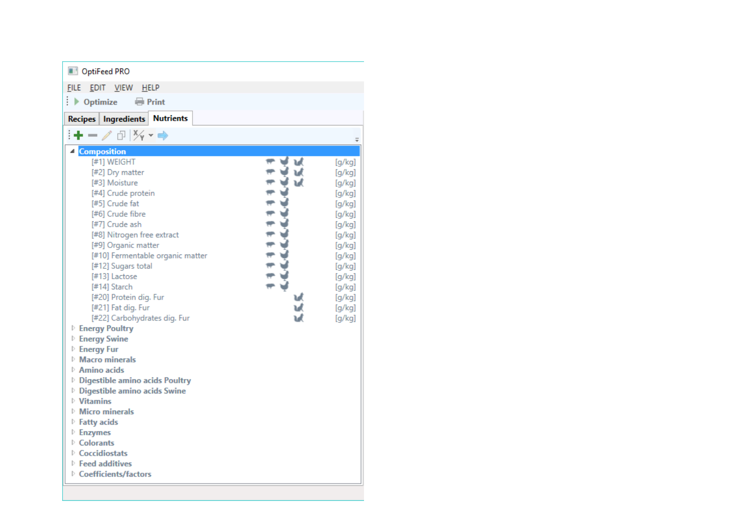| w<br>ъđ | [g/kg]<br>[g/kg]<br>[g/kg]<br>[g/kg]<br>[g/kg]<br>[g/kg]<br>[g/kg]<br>[g/kg]<br>[g/kg]<br>[g/kg]<br>[g/kg]<br>[g/kg]<br>[g/kg]<br>[g/kg]<br>[g/kg]<br>[g/kg] |
|---------|--------------------------------------------------------------------------------------------------------------------------------------------------------------|
|         |                                                                                                                                                              |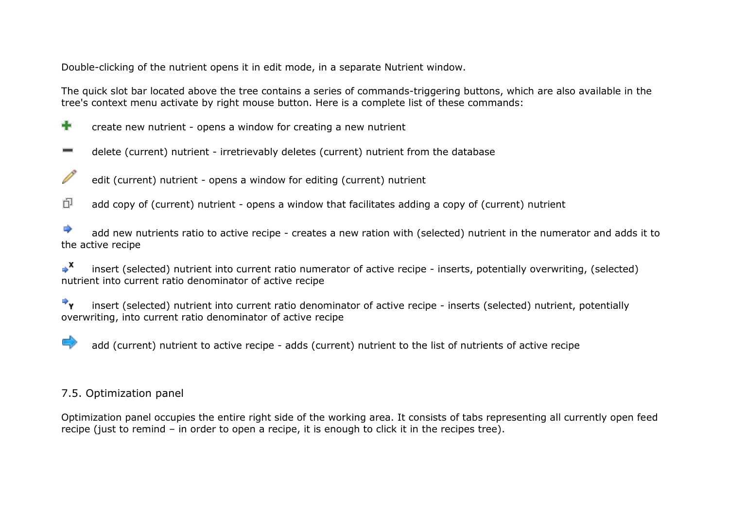Double-clicking of the nutrient opens it in edit mode, in a separate Nutrient window.

The quick slot bar located above the tree contains a series of commands-triggering buttons, which are also available in the tree's context menu activate by right mouse button. Here is a complete list of these commands:

- ÷ create new nutrient - opens a window for creating a new nutrient
- delete (current) nutrient irretrievably deletes (current) nutrient from the database  $\equiv$
- edit (current) nutrient opens a window for editing (current) nutrient
- 巾 add copy of (current) nutrient - opens a window that facilitates adding a copy of (current) nutrient

</u> add new nutrients ratio to active recipe - creates a new ration with (selected) nutrient in the numerator and adds it to the active recipe

 $\mathbf{X}$ insert (selected) nutrient into current ratio numerator of active recipe - inserts, potentially overwriting, (selected) nutrient into current ratio denominator of active recipe

 $\Rightarrow$ insert (selected) nutrient into current ratio denominator of active recipe - inserts (selected) nutrient, potentially overwriting, into current ratio denominator of active recipe

add (current) nutrient to active recipe - adds (current) nutrient to the list of nutrients of active recipe

## 7.5. Optimization panel

Optimization panel occupies the entire right side of the working area. It consists of tabs representing all currently open feed recipe (just to remind – in order to open a recipe, it is enough to click it in the recipes tree).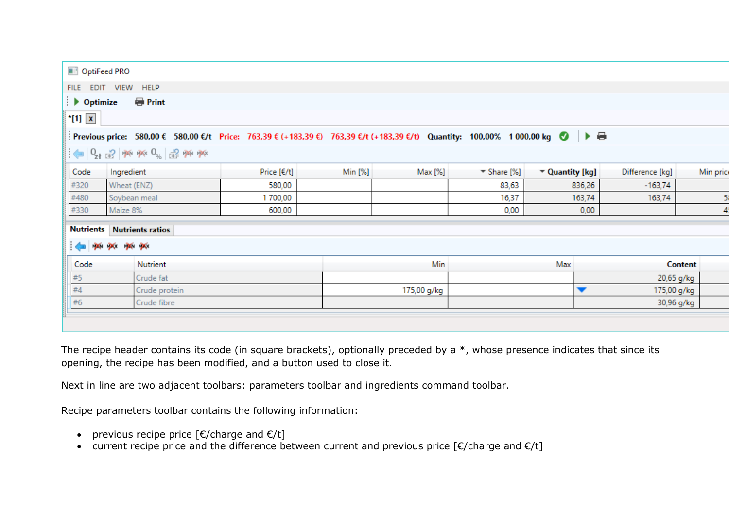| OptiFeed PRO           |                                                                                                                                                                                  |               |         |             |                    |                 |                          |                 |           |
|------------------------|----------------------------------------------------------------------------------------------------------------------------------------------------------------------------------|---------------|---------|-------------|--------------------|-----------------|--------------------------|-----------------|-----------|
|                        | FILE EDIT VIEW HELP                                                                                                                                                              |               |         |             |                    |                 |                          |                 |           |
| $\rightarrow$ Optimize | <b>Print</b>                                                                                                                                                                     |               |         |             |                    |                 |                          |                 |           |
| $*$ [1] $x$            |                                                                                                                                                                                  |               |         |             |                    |                 |                          |                 |           |
|                        | Previous price: 580,00 € 580,00 €/t Price: 763,39 € (+183,39 €) 763,39 €/t (+183,39 €/t) Quantity: 100,00% 1000,00 kg ● ▶ ●                                                      |               |         |             |                    |                 |                          |                 |           |
|                        | $\left\Vert \leftarrow\right\Vert _{Q_{1}}$ $\left\Vert \cdot\right\Vert _{H^{1}}$ pai pai $\left\Vert \circ\right\Vert _{S_{0}}$ $\left\Vert \cdot\right\Vert _{H^{1}}$ pai pai |               |         |             |                    |                 |                          |                 |           |
| Code                   | Ingredient                                                                                                                                                                       | Price $[€/t]$ | Min [%] | Max [%]     | $\equiv$ Share [%] | " Quantity [kg] |                          | Difference [kg] | Min price |
| #320                   | Wheat (ENZ)                                                                                                                                                                      | 580,00        |         |             | 83,63              |                 | 836,26                   | $-163,74$       |           |
| #480                   | Soybean meal                                                                                                                                                                     | 1700,00       |         |             | 16,37              |                 | 163,74                   | 163,74          | 58        |
| #330                   | Maize 8%                                                                                                                                                                         | 600,00        |         |             | 0,00               |                 | 0,00                     |                 | 4.        |
| <b>Nutrients</b>       | <b>Nutrients ratios</b>                                                                                                                                                          |               |         |             |                    |                 |                          |                 |           |
|                        | $\leftarrow$ 24 24 24 24                                                                                                                                                         |               |         |             |                    |                 |                          |                 |           |
| Code                   | Nutrient                                                                                                                                                                         |               |         | Min         |                    | Max             |                          | <b>Content</b>  |           |
| $\#5$                  | Crude fat                                                                                                                                                                        |               |         |             |                    |                 |                          | 20,65 g/kg      |           |
| #4                     | Crude protein                                                                                                                                                                    |               |         | 175,00 g/kg |                    |                 | $\overline{\phantom{a}}$ | 175,00 g/kg     |           |
| #6                     | Crude fibre                                                                                                                                                                      |               |         |             |                    |                 |                          | 30,96 g/kg      |           |
|                        |                                                                                                                                                                                  |               |         |             |                    |                 |                          |                 |           |

The recipe header contains its code (in square brackets), optionally preceded by a \*, whose presence indicates that since its opening, the recipe has been modified, and a button used to close it.

Next in line are two adjacent toolbars: parameters toolbar and ingredients command toolbar.

Recipe parameters toolbar contains the following information:

- previous recipe price  $[\mathcal{E}/\mathsf{charge} \text{ and } \mathcal{E}/\mathsf{t}]$
- current recipe price and the difference between current and previous price  $\lceil \epsilon / \text{charge} \rceil$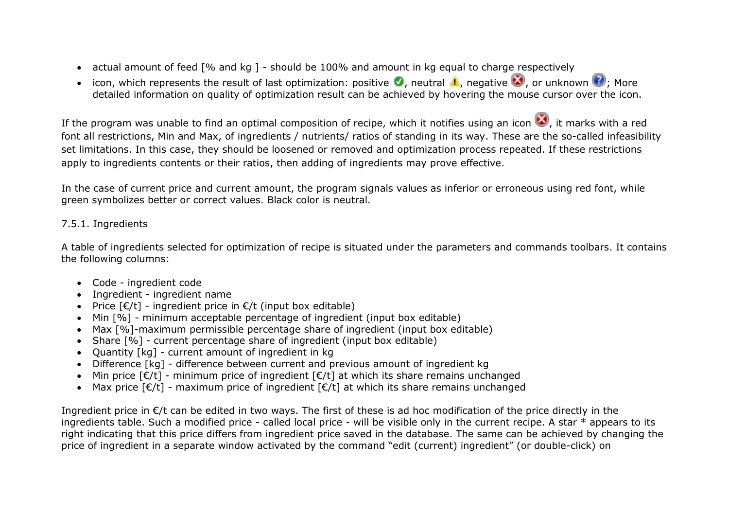- actual amount of feed [% and kg ] should be 100% and amount in kg equal to charge respectively
- icon, which represents the result of last optimization: positive  $\bullet$ , neutral  $\bullet$ , negative  $\bullet$ , or unknown  $\bullet$ ; More detailed information on quality of optimization result can be achieved by hovering the mouse cursor over the icon.

If the program was unable to find an optimal composition of recipe, which it notifies using an icon  $\Box$ , it marks with a red font all restrictions, Min and Max, of ingredients / nutrients/ ratios of standing in its way. These are the so-called infeasibility set limitations. In this case, they should be loosened or removed and optimization process repeated. If these restrictions apply to ingredients contents or their ratios, then adding of ingredients may prove effective.

In the case of current price and current amount, the program signals values as inferior or erroneous using red font, while green symbolizes better or correct values. Black color is neutral.

## 7.5.1. Ingredients

A table of ingredients selected for optimization of recipe is situated under the parameters and commands toolbars. It contains the following columns:

- Code ingredient code
- Ingredient ingredient name
- Price  $E/t$ ] ingredient price in  $E/t$  (input box editable)
- Min  $[%]$  minimum acceptable percentage of ingredient (input box editable)
- Max [%]-maximum permissible percentage share of ingredient (input box editable)
- Share [%] current percentage share of ingredient (input box editable)
- Quantity [kg] current amount of ingredient in kg
- Difference [kg] difference between current and previous amount of ingredient kg
- Min price  $E/t$ ] minimum price of ingredient  $E/t$ ] at which its share remains unchanged
- Max price  $\lceil \epsilon / t \rceil$  maximum price of ingredient  $\lceil \epsilon / t \rceil$  at which its share remains unchanged

Ingredient price in €/t can be edited in two ways. The first of these is ad hoc modification of the price directly in the ingredients table. Such a modified price - called local price - will be visible only in the current recipe. A star \* appears to its right indicating that this price differs from ingredient price saved in the database. The same can be achieved by changing the price of ingredient in a separate window activated by the command "edit (current) ingredient" (or double-click) on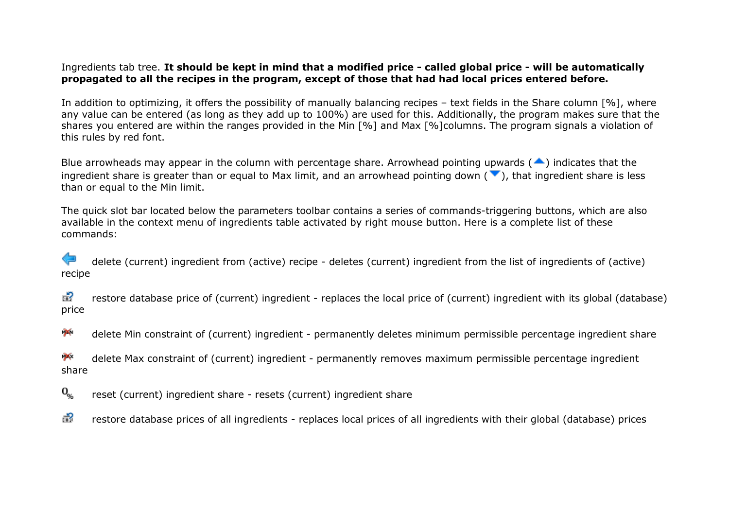## Ingredients tab tree. **It should be kept in mind that a modified price - called global price - will be automatically propagated to all the recipes in the program, except of those that had had local prices entered before.**

In addition to optimizing, it offers the possibility of manually balancing recipes – text fields in the Share column [%], where any value can be entered (as long as they add up to 100%) are used for this. Additionally, the program makes sure that the shares you entered are within the ranges provided in the Min [%] and Max [%]columns. The program signals a violation of this rules by red font.

Blue arrowheads may appear in the column with percentage share. Arrowhead pointing upwards  $($ ingredient share is greater than or equal to Max limit, and an arrowhead pointing down ( $\blacktriangledown$ ), that ingredient share is less than or equal to the Min limit.

The quick slot bar located below the parameters toolbar contains a series of commands-triggering buttons, which are also available in the context menu of ingredients table activated by right mouse button. Here is a complete list of these commands:

delete (current) ingredient from (active) recipe - deletes (current) ingredient from the list of ingredients of (active) recipe

ಕ? restore database price of (current) ingredient - replaces the local price of (current) ingredient with its global (database) price

 $\mathbb{X}$ delete Min constraint of (current) ingredient - permanently deletes minimum permissible percentage ingredient share

**P**X delete Max constraint of (current) ingredient - permanently removes maximum permissible percentage ingredient share

 $\mathbf{0}_{\alpha}$ reset (current) ingredient share - resets (current) ingredient share

品 restore database prices of all ingredients - replaces local prices of all ingredients with their global (database) prices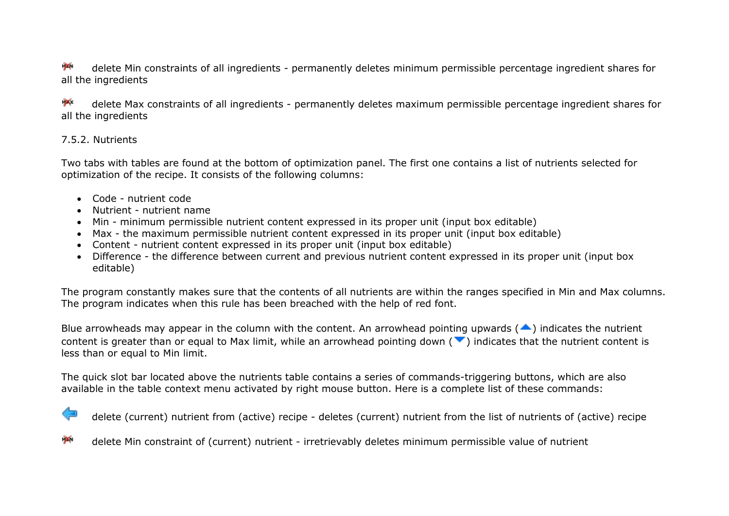$\mathcal{N}$ delete Min constraints of all ingredients - permanently deletes minimum permissible percentage ingredient shares for all the ingredients

 $\mathbf{X}$ delete Max constraints of all ingredients - permanently deletes maximum permissible percentage ingredient shares for all the ingredients

## 7.5.2. Nutrients

Two tabs with tables are found at the bottom of optimization panel. The first one contains a list of nutrients selected for optimization of the recipe. It consists of the following columns:

- Code nutrient code
- Nutrient nutrient name
- Min minimum permissible nutrient content expressed in its proper unit (input box editable)
- Max the maximum permissible nutrient content expressed in its proper unit (input box editable)
- Content nutrient content expressed in its proper unit (input box editable)
- Difference the difference between current and previous nutrient content expressed in its proper unit (input box editable)

The program constantly makes sure that the contents of all nutrients are within the ranges specified in Min and Max columns. The program indicates when this rule has been breached with the help of red font.

Blue arrowheads may appear in the column with the content. An arrowhead pointing upwards ( $\blacktriangle$ ) indicates the nutrient content is greater than or equal to Max limit, while an arrowhead pointing down  $($   $\bullet$ ) indicates that the nutrient content is less than or equal to Min limit.

The quick slot bar located above the nutrients table contains a series of commands-triggering buttons, which are also available in the table context menu activated by right mouse button. Here is a complete list of these commands:

delete (current) nutrient from (active) recipe - deletes (current) nutrient from the list of nutrients of (active) recipe

**PA** delete Min constraint of (current) nutrient - irretrievably deletes minimum permissible value of nutrient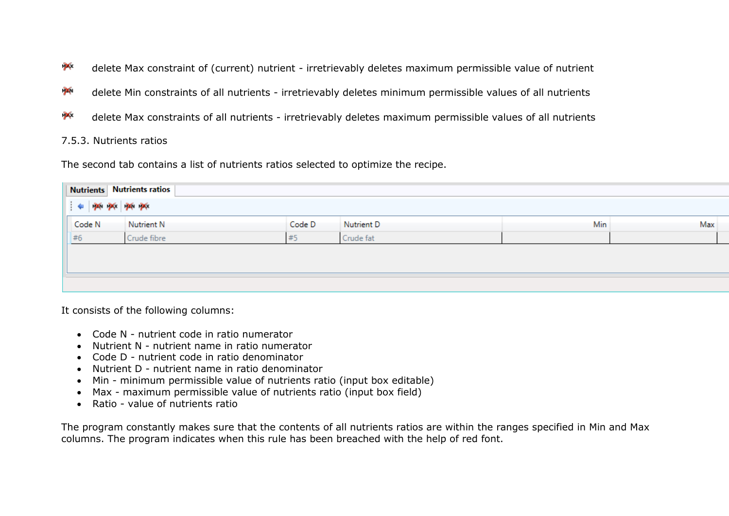- $\mathbf{X}$ delete Max constraint of (current) nutrient - irretrievably deletes maximum permissible value of nutrient
- $\boldsymbol{\times}$ delete Min constraints of all nutrients - irretrievably deletes minimum permissible values of all nutrients
- **P**X delete Max constraints of all nutrients - irretrievably deletes maximum permissible values of all nutrients

### 7.5.3. Nutrients ratios

The second tab contains a list of nutrients ratios selected to optimize the recipe.

| <b>Nutrients Nutrients ratios</b>                                                                                                                                      |             |        |            |     |     |
|------------------------------------------------------------------------------------------------------------------------------------------------------------------------|-------------|--------|------------|-----|-----|
| $\frac{1}{2}$ $\Leftarrow$ $\frac{1}{2}$ $\frac{1}{2}$ $\frac{1}{2}$ $\frac{1}{2}$ $\frac{1}{2}$ $\frac{1}{2}$ $\frac{1}{2}$ $\frac{1}{2}$ $\frac{1}{2}$ $\frac{1}{2}$ |             |        |            |     |     |
| Code N                                                                                                                                                                 | Nutrient N  | Code D | Nutrient D | Min | Max |
| #6                                                                                                                                                                     | Crude fibre | #5     | Crude fat  |     |     |
|                                                                                                                                                                        |             |        |            |     |     |
|                                                                                                                                                                        |             |        |            |     |     |
|                                                                                                                                                                        |             |        |            |     |     |
|                                                                                                                                                                        |             |        |            |     |     |

It consists of the following columns:

- Code N nutrient code in ratio numerator
- Nutrient N nutrient name in ratio numerator
- Code D nutrient code in ratio denominator
- Nutrient D nutrient name in ratio denominator
- Min minimum permissible value of nutrients ratio (input box editable)
- Max maximum permissible value of nutrients ratio (input box field)
- Ratio value of nutrients ratio

The program constantly makes sure that the contents of all nutrients ratios are within the ranges specified in Min and Max columns. The program indicates when this rule has been breached with the help of red font.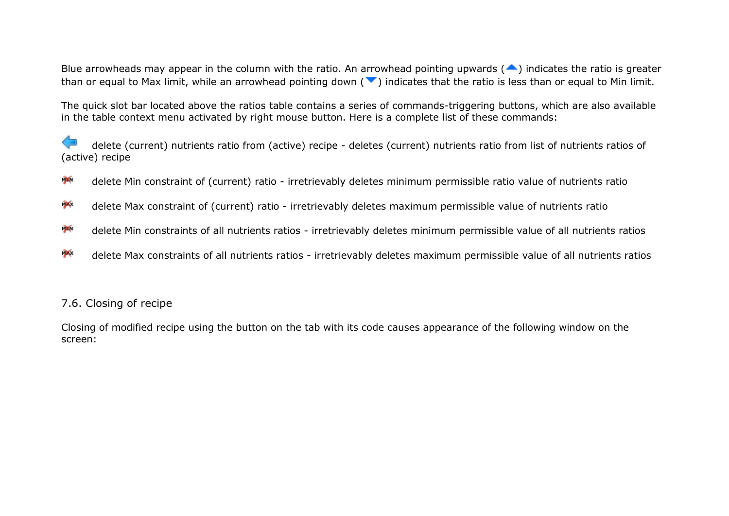Blue arrowheads may appear in the column with the ratio. An arrowhead pointing upwards  $($ <sup>4</sup>) indicates the ratio is greater than or equal to Max limit, while an arrowhead pointing down ( $\blacktriangledown$ ) indicates that the ratio is less than or equal to Min limit.

The quick slot bar located above the ratios table contains a series of commands-triggering buttons, which are also available in the table context menu activated by right mouse button. Here is a complete list of these commands:

delete (current) nutrients ratio from (active) recipe - deletes (current) nutrients ratio from list of nutrients ratios of (active) recipe

- $\mathbf{\times}$ delete Min constraint of (current) ratio - irretrievably deletes minimum permissible ratio value of nutrients ratio
- $\mathbf{p}$ delete Max constraint of (current) ratio - irretrievably deletes maximum permissible value of nutrients ratio
- $\mathbb{Z}$ delete Min constraints of all nutrients ratios - irretrievably deletes minimum permissible value of all nutrients ratios
- $\mathbf{p}$ delete Max constraints of all nutrients ratios - irretrievably deletes maximum permissible value of all nutrients ratios

## 7.6. Closing of recipe

Closing of modified recipe using the button on the tab with its code causes appearance of the following window on the screen: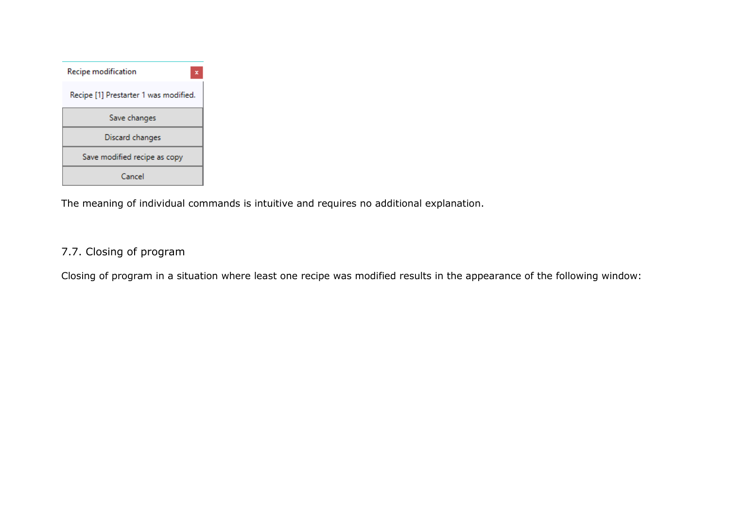| Recipe modification<br>×              |  |  |
|---------------------------------------|--|--|
| Recipe [1] Prestarter 1 was modified. |  |  |
| Save changes                          |  |  |
| Discard changes                       |  |  |
| Save modified recipe as copy          |  |  |
| Cancel                                |  |  |

The meaning of individual commands is intuitive and requires no additional explanation.

# 7.7. Closing of program

Closing of program in a situation where least one recipe was modified results in the appearance of the following window: